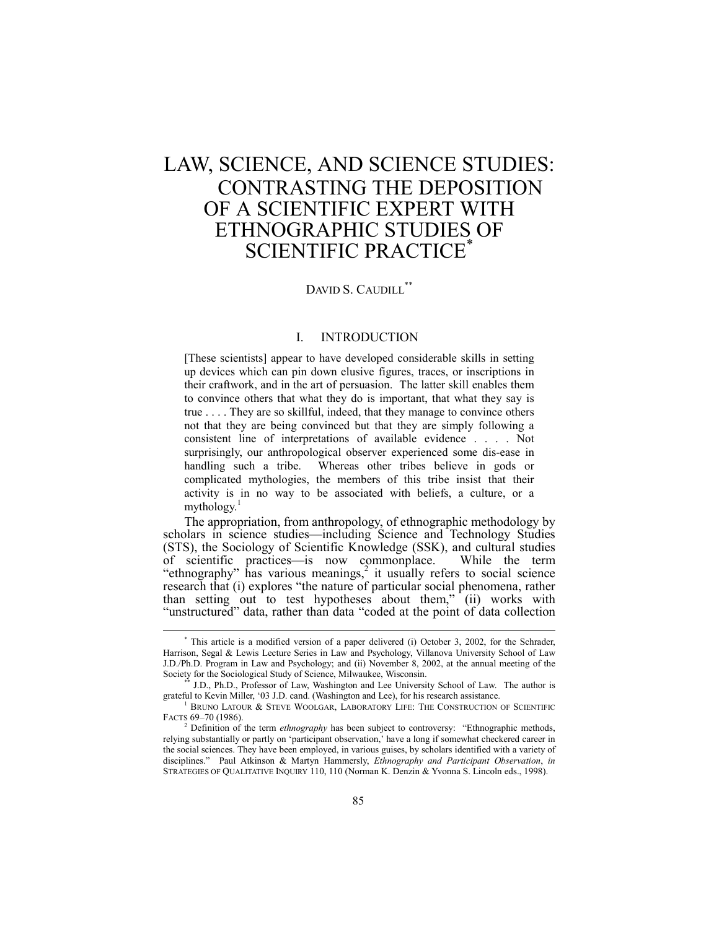# LAW, SCIENCE, AND SCIENCE STUDIES: CONTRASTING THE DEPOSITION OF A SCIENTIFIC EXPERT WITH ETHNOGRAPHIC STUDIES OF SCIENTIFIC PRACTICE<sup>\*</sup>

# DAVID S. CAUDILI.\*\*

### I. INTRODUCTION

[These scientists] appear to have developed considerable skills in setting up devices which can pin down elusive figures, traces, or inscriptions in their craftwork, and in the art of persuasion. The latter skill enables them to convince others that what they do is important, that what they say is true . . . . They are so skillful, indeed, that they manage to convince others not that they are being convinced but that they are simply following a consistent line of interpretations of available evidence . . . . Not surprisingly, our anthropological observer experienced some dis-ease in handling such a tribe. Whereas other tribes believe in gods or complicated mythologies, the members of this tribe insist that their activity is in no way to be associated with beliefs, a culture, or a mythology. $1$ 

The appropriation, from anthropology, of ethnographic methodology by scholars in science studies—including Science and Technology Studies (STS), the Sociology of Scientific Knowledge (SSK), and cultural studies of scientific practices—is now commonplace. While the term "ethnography" has various meanings,<sup>2</sup> it usually refers to social science research that (i) explores "the nature of particular social phenomena, rather than setting out to test hypotheses about them," (ii) works with "unstructured" data, rather than data "coded at the point of data collection

 <sup>\*</sup> This article is a modified version of a paper delivered (i) October 3, 2002, for the Schrader, Harrison, Segal & Lewis Lecture Series in Law and Psychology, Villanova University School of Law J.D./Ph.D. Program in Law and Psychology; and (ii) November 8, 2002, at the annual meeting of the Society for the Sociological Study of Science, Milwaukee, Wisconsin.

<sup>\*\*</sup> J.D., Ph.D., Professor of Law, Washington and Lee University School of Law. The author is grateful to Kevin Miller, ë03 J.D. cand. (Washington and Lee), for his research assistance.

<sup>1</sup> BRUNO LATOUR & STEVE WOOLGAR, LABORATORY LIFE: THE CONSTRUCTION OF SCIENTIFIC FACTS 69-70 (1986).

<sup>&</sup>lt;sup>2</sup> Definition of the term *ethnography* has been subject to controversy: "Ethnographic methods, relying substantially or partly on 'participant observation,' have a long if somewhat checkered career in the social sciences. They have been employed, in various guises, by scholars identified with a variety of disciplines.î Paul Atkinson & Martyn Hammersly, *Ethnography and Participant Observation*, *in* STRATEGIES OF QUALITATIVE INQUIRY 110, 110 (Norman K. Denzin & Yvonna S. Lincoln eds., 1998).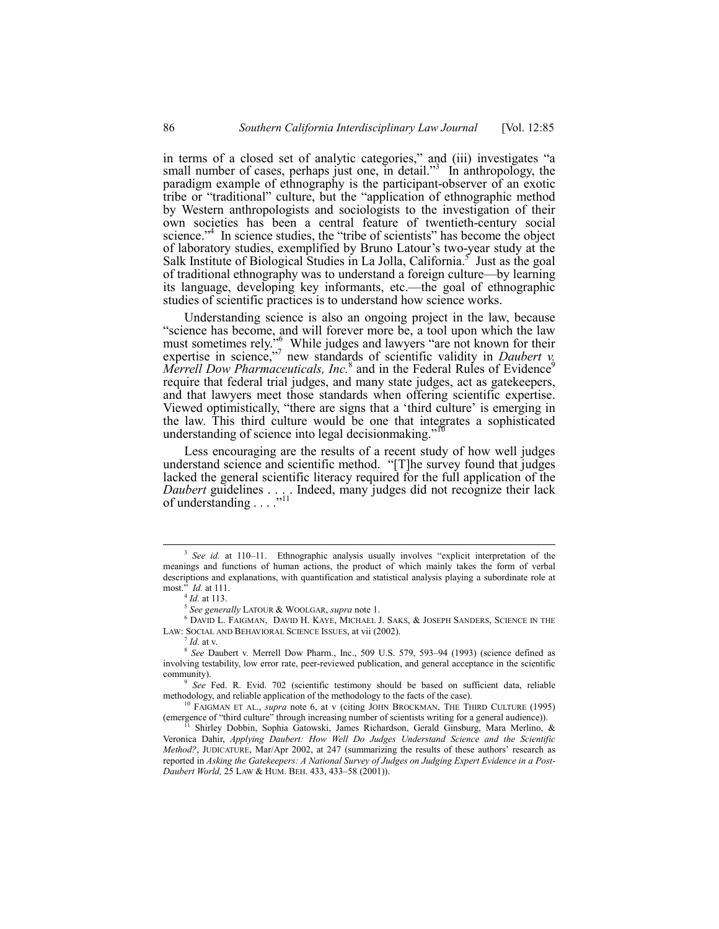in terms of a closed set of analytic categories," and (iii) investigates "a small number of cases, perhaps just one, in detail. $33$  In anthropology, the paradigm example of ethnography is the participant-observer of an exotic tribe or "traditional" culture, but the "application of ethnographic method by Western anthropologists and sociologists to the investigation of their own societies has been a central feature of twentieth-century social science.<sup> $34$ </sup> In science studies, the "tribe of scientists" has become the object of laboratory studies, exemplified by Bruno Latour's two-year study at the Salk Institute of Biological Studies in La Jolla, California. $\frac{5}{5}$  Just as the goal of traditional ethnography was to understand a foreign culture—by learning its language, developing key informants, etc.—the goal of ethnographic studies of scientific practices is to understand how science works.

Understanding science is also an ongoing project in the law, because "science has become, and will forever more be, a tool upon which the law must sometimes rely." While judges and lawyers "are not known for their expertise in science,<sup> $n^7$ </sup> new standards of scientific validity in *Daubert v*. Merrell Dow Pharmaceuticals, Inc.<sup>8</sup> and in the Federal Rules of Evidence<sup>9</sup> require that federal trial judges, and many state judges, act as gatekeepers, and that lawyers meet those standards when offering scientific expertise. Viewed optimistically, "there are signs that a 'third culture' is emerging in the law. This third culture would be one that integrates a sophisticated understanding of science into legal decision<br>making.<sup>717</sup>

Less encouraging are the results of a recent study of how well judges understand science and scientific method. "[T]he survey found that judges lacked the general scientific literacy required for the full application of the *Daubert* guidelines  $\ldots$  ... Indeed, many judges did not recognize their lack of understanding . . . .

<sup>&</sup>lt;sup>3</sup> See id. at 110-11. Ethnographic analysis usually involves "explicit interpretation of the meanings and functions of human actions, the product of which mainly takes the form of verbal descriptions and explanations, with quantification and statistical analysis playing a subordinate role at most.î *Id.* at 111.

<sup>4</sup> *Id.* at 113.

<sup>5</sup> *See generally* LATOUR & WOOLGAR, *supra* note 1.

<sup>6</sup> DAVID L. FAIGMAN, DAVID H. KAYE, MICHAEL J. SAKS, & JOSEPH SANDERS, SCIENCE IN THE LAW: SOCIAL AND BEHAVIORAL SCIENCE ISSUES, at vii (2002).

 $^7$  *Id.* at v.

<sup>8</sup> See Daubert v. Merrell Dow Pharm., Inc., 509 U.S. 579, 593-94 (1993) (science defined as involving testability, low error rate, peer-reviewed publication, and general acceptance in the scientific community).

<sup>9</sup> *See* Fed. R. Evid. 702 (scientific testimony should be based on sufficient data, reliable methodology, and reliable application of the methodology to the facts of the case).

<sup>10</sup> FAIGMAN ET AL., *supra* note 6, at v (citing JOHN BROCKMAN, THE THIRD CULTURE (1995) (emergence of "third culture" through increasing number of scientists writing for a general audience)).

 $11$  Shirley Dobbin, Sophia Gatowski, James Richardson, Gerald Ginsburg, Mara Merlino, & Veronica Dahir, *Applying Daubert: How Well Do Judges Understand Science and the Scientific Method?*, JUDICATURE, Mar/Apr 2002, at 247 (summarizing the results of these authors' research as reported in *Asking the Gatekeepers: A National Survey of Judges on Judging Expert Evidence in a Post-Daubert World,* 25 LAW & HUM. BEH. 433, 433-58 (2001)).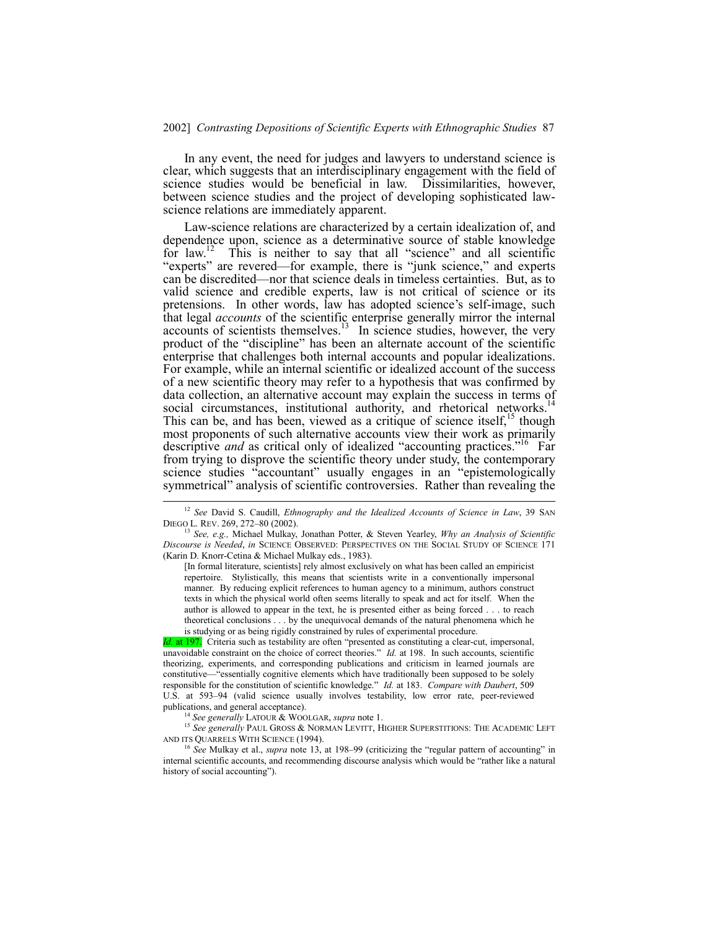In any event, the need for judges and lawyers to understand science is clear, which suggests that an interdisciplinary engagement with the field of science studies would be beneficial in law. Dissimilarities, however, between science studies and the project of developing sophisticated lawscience relations are immediately apparent.

Law-science relations are characterized by a certain idealization of, and dependence upon, science as a determinative source of stable knowledge for law.<sup>12</sup> This is neither to say that all "science" and all scientific "experts" are revered—for example, there is "junk science," and experts can be discredited—nor that science deals in timeless certainties. But, as to valid science and credible experts, law is not critical of science or its pretensions. In other words, law has adopted science's self-image, such that legal *accounts* of the scientific enterprise generally mirror the internal  $\alpha$  accounts of scientists themselves.<sup>13</sup> In science studies, however, the very product of the "discipline" has been an alternate account of the scientific enterprise that challenges both internal accounts and popular idealizations. For example, while an internal scientific or idealized account of the success of a new scientific theory may refer to a hypothesis that was confirmed by data collection, an alternative account may explain the success in terms of social circumstances, institutional authority, and rhetorical networks.<sup>14</sup> This can be, and has been, viewed as a critique of science itself,<sup>15</sup> though most proponents of such alternative accounts view their work as primarily descriptive *and* as critical only of idealized "accounting practices."<sup>16</sup> Far from trying to disprove the scientific theory under study, the contemporary science studies "accountant" usually engages in an "epistemologically symmetrical" analysis of scientific controversies. Rather than revealing the

[In formal literature, scientists] rely almost exclusively on what has been called an empiricist repertoire. Stylistically, this means that scientists write in a conventionally impersonal manner. By reducing explicit references to human agency to a minimum, authors construct texts in which the physical world often seems literally to speak and act for itself. When the author is allowed to appear in the text, he is presented either as being forced . . . to reach theoretical conclusions . . . by the unequivocal demands of the natural phenomena which he is studying or as being rigidly constrained by rules of experimental procedure.

*Id.* at 197. Criteria such as testability are often "presented as constituting a clear-cut, impersonal, unavoidable constraint on the choice of correct theories." *Id.* at 198. In such accounts, scientific theorizing, experiments, and corresponding publications and criticism in learned journals are constitutive—"essentially cognitive elements which have traditionally been supposed to be solely responsible for the constitution of scientific knowledge." Id. at 183. Compare with Daubert, 509 U.S. at 593-94 (valid science usually involves testability, low error rate, peer-reviewed publications, and general acceptance).

<sup>14</sup> *See generally* LATOUR & WOOLGAR, *supra* note 1.

<sup>15</sup> See generally PAUL GROSS & NORMAN LEVITT, HIGHER SUPERSTITIONS: THE ACADEMIC LEFT AND ITS QUARRELS WITH SCIENCE (1994).

<sup>16</sup> See Mulkay et al., *supra* note 13, at 198-99 (criticizing the "regular pattern of accounting" in internal scientific accounts, and recommending discourse analysis which would be "rather like a natural history of social accounting").

 <sup>12</sup> *See* David S. Caudill, *Ethnography and the Idealized Accounts of Science in Law*, 39 SAN DIEGO L. REV. 269, 272-80 (2002).

<sup>13</sup> *See, e.g.,* Michael Mulkay, Jonathan Potter, & Steven Yearley, *Why an Analysis of Scientific Discourse is Needed*, *in* SCIENCE OBSERVED: PERSPECTIVES ON THE SOCIAL STUDY OF SCIENCE 171 (Karin D. Knorr-Cetina & Michael Mulkay eds., 1983).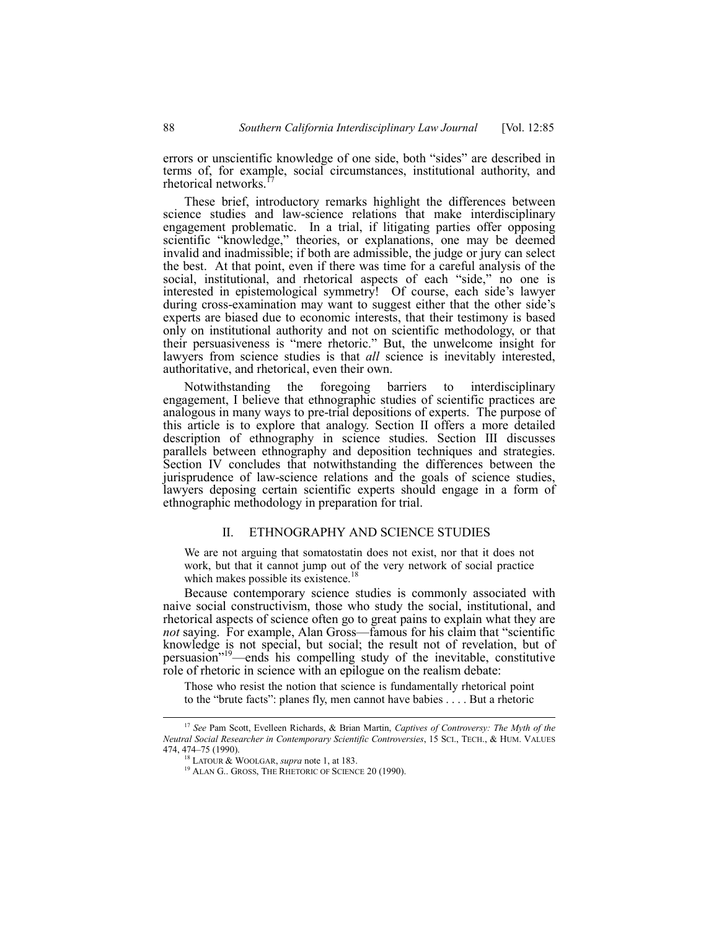errors or unscientific knowledge of one side, both "sides" are described in terms of, for example, social circumstances, institutional authority, and rhetorical networks.

These brief, introductory remarks highlight the differences between science studies and law-science relations that make interdisciplinary engagement problematic. In a trial, if litigating parties offer opposing scientific "knowledge," theories, or explanations, one may be deemed invalid and inadmissible; if both are admissible, the judge or jury can select the best. At that point, even if there was time for a careful analysis of the social, institutional, and rhetorical aspects of each "side," no one is interested in epistemological symmetry! Of course, each side's lawyer during cross-examination may want to suggest either that the other side's experts are biased due to economic interests, that their testimony is based only on institutional authority and not on scientific methodology, or that their persuasiveness is "mere rhetoric." But, the unwelcome insight for lawyers from science studies is that *all* science is inevitably interested, authoritative, and rhetorical, even their own.

Notwithstanding the foregoing barriers to interdisciplinary engagement, I believe that ethnographic studies of scientific practices are analogous in many ways to pre-trial depositions of experts. The purpose of this article is to explore that analogy. Section II offers a more detailed description of ethnography in science studies. Section III discusses parallels between ethnography and deposition techniques and strategies. Section IV concludes that notwithstanding the differences between the jurisprudence of law-science relations and the goals of science studies, lawyers deposing certain scientific experts should engage in a form of ethnographic methodology in preparation for trial.

#### II. ETHNOGRAPHY AND SCIENCE STUDIES

We are not arguing that somatostatin does not exist, nor that it does not work, but that it cannot jump out of the very network of social practice which makes possible its existence.<sup>18</sup>

Because contemporary science studies is commonly associated with naive social constructivism, those who study the social, institutional, and rhetorical aspects of science often go to great pains to explain what they are *not* saying. For example, Alan Gross—famous for his claim that "scientific knowledge is not special, but social; the result not of revelation, but of persuasion<sup>"19</sup>—ends his compelling study of the inevitable, constitutive role of rhetoric in science with an epilogue on the realism debate:

Those who resist the notion that science is fundamentally rhetorical point to the "brute facts": planes fly, men cannot have babies  $\dots$ . But a rhetoric

 <sup>17</sup> *See* Pam Scott, Evelleen Richards, & Brian Martin, *Captives of Controversy: The Myth of the Neutral Social Researcher in Contemporary Scientific Controversies*, 15 SCI., TECH., & HUM. VALUES 474, 474-75 (1990).

<sup>18</sup> LATOUR & WOOLGAR, *supra* note 1, at 183.

<sup>&</sup>lt;sup>19</sup> ALAN G.. GROSS, THE RHETORIC OF SCIENCE 20 (1990).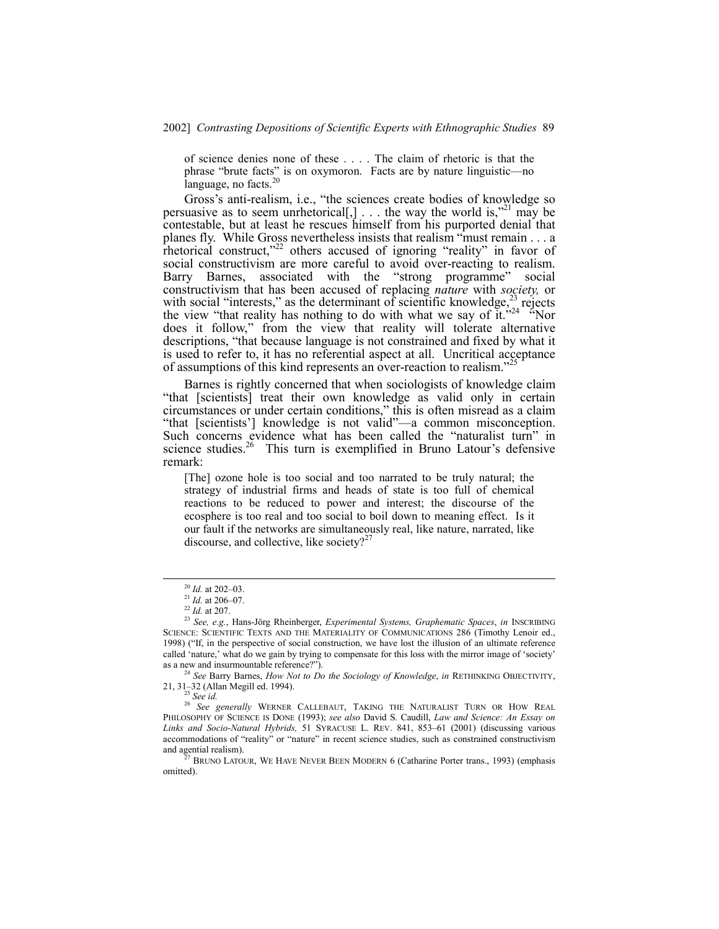of science denies none of these . . . . The claim of rhetoric is that the phrase "brute facts" is on oxymoron. Facts are by nature linguistic—no language, no facts. $20$ 

Gross's anti-realism, i.e., "the sciences create bodies of knowledge so persuasive as to seem unrhetorical[,]  $\ldots$  the way the world is,<sup> $21$ </sup> may be contestable, but at least he rescues himself from his purported denial that planes fly. While Gross nevertheless insists that realism "must remain  $\dots$  a rhetorical construct, $x^{22}$  others accused of ignoring "reality" in favor of social constructivism are more careful to avoid over-reacting to realism. Barry Barnes, associated with the "strong programme" social constructivism that has been accused of replacing *nature* with *society,* or with social "interests," as the determinant of scientific knowledge, $^{23}$  rejects the view "that reality has nothing to do with what we say of it.<sup>324</sup> <sup>24</sup>Nor does it follow," from the view that reality will tolerate alternative descriptions, "that because language is not constrained and fixed by what it is used to refer to, it has no referential aspect at all. Uncritical acceptance of assumptions of this kind represents an over-reaction to realism.<sup>35</sup>

Barnes is rightly concerned that when sociologists of knowledge claim "that [scientists] treat their own knowledge as valid only in certain circumstances or under certain conditions," this is often misread as a claim "that [scientists'] knowledge is not valid"—a common misconception. Such concerns evidence what has been called the "naturalist turn" in science studies. $26$  This turn is exemplified in Bruno Latour's defensive remark:

[The] ozone hole is too social and too narrated to be truly natural; the strategy of industrial firms and heads of state is too full of chemical reactions to be reduced to power and interest; the discourse of the ecosphere is too real and too social to boil down to meaning effect. Is it our fault if the networks are simultaneously real, like nature, narrated, like discourse, and collective, like society?<sup>27</sup>

<sup>24</sup> See Barry Barnes, *How Not to Do the Sociology of Knowledge*, *in* RETHINKING OBJECTIVITY, 21, 31–32 (Allan Megill ed. 1994).<br><sup>25</sup> See id.

<sup>26</sup> See generally WERNER CALLEBAUT, TAKING THE NATURALIST TURN OR HOW REAL PHILOSOPHY OF SCIENCE IS DONE (1993); *see also* David S. Caudill, *Law and Science: An Essay on* Links and Socio-Natural Hybrids, 51 SYRACUSE L. REV. 841, 853-61 (2001) (discussing various accommodations of "reality" or "nature" in recent science studies, such as constrained constructivism and agential realism).

 $27$  BRUNO LATOUR, WE HAVE NEVER BEEN MODERN 6 (Catharine Porter trans., 1993) (emphasis omitted).

<sup>&</sup>lt;sup>20</sup> *Id.* at 202-03.

 $^{21}$  *Id.* at 206–07.

<sup>22</sup> *Id.* at 207.

<sup>&</sup>lt;sup>23</sup> See, e.g., Hans-Jörg Rheinberger, *Experimental Systems, Graphematic Spaces*, *in* INSCRIBING SCIENCE: SCIENTIFIC TEXTS AND THE MATERIALITY OF COMMUNICATIONS 286 (Timothy Lenoir ed., 1998) ("If, in the perspective of social construction, we have lost the illusion of an ultimate reference called 'nature,' what do we gain by trying to compensate for this loss with the mirror image of 'society' as a new and insurmountable reference?").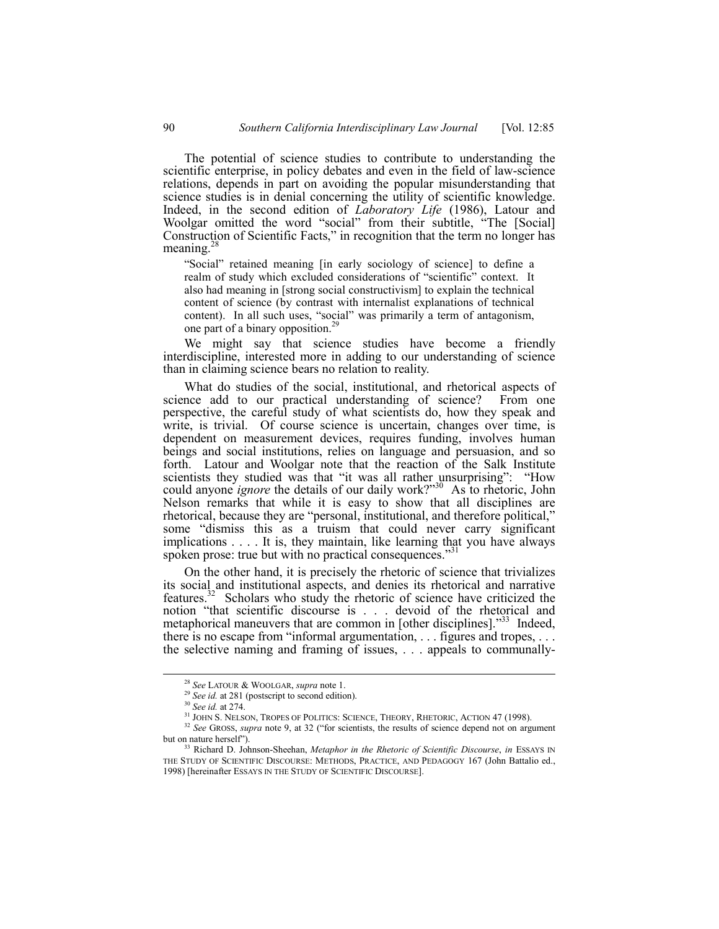The potential of science studies to contribute to understanding the scientific enterprise, in policy debates and even in the field of law-science relations, depends in part on avoiding the popular misunderstanding that science studies is in denial concerning the utility of scientific knowledge. Indeed, in the second edition of *Laboratory Life* (1986), Latour and Woolgar omitted the word "social" from their subtitle, "The [Social] Construction of Scientific Facts," in recognition that the term no longer has meaning. $^{28}$ 

"Social" retained meaning [in early sociology of science] to define a realm of study which excluded considerations of "scientific" context. It also had meaning in [strong social constructivism] to explain the technical content of science (by contrast with internalist explanations of technical content). In all such uses, "social" was primarily a term of antagonism, one part of a binary opposition.29

We might say that science studies have become a friendly interdiscipline, interested more in adding to our understanding of science than in claiming science bears no relation to reality.

What do studies of the social, institutional, and rhetorical aspects of science add to our practical understanding of science? From one perspective, the careful study of what scientists do, how they speak and write, is trivial. Of course science is uncertain, changes over time, is dependent on measurement devices, requires funding, involves human beings and social institutions, relies on language and persuasion, and so forth. Latour and Woolgar note that the reaction of the Salk Institute scientists they studied was that "it was all rather unsurprising": "How could anyone *ignore* the details of our daily work?"<sup>30</sup> As to rhetoric, John Nelson remarks that while it is easy to show that all disciplines are rhetorical, because they are "personal, institutional, and therefore political," some "dismiss this as a truism that could never carry significant implications . . . . It is, they maintain, like learning that you have always spoken prose: true but with no practical consequences.<sup>33</sup>

On the other hand, it is precisely the rhetoric of science that trivializes its social and institutional aspects, and denies its rhetorical and narrative features.32 Scholars who study the rhetoric of science have criticized the notion "that scientific discourse is . . . devoid of the rhetorical and metaphorical maneuvers that are common in [other disciplines].<sup> $33$ </sup> Indeed, there is no escape from "informal argumentation,  $\ldots$  figures and tropes,  $\ldots$ the selective naming and framing of issues, . . . appeals to communally-

 <sup>28</sup> *See* LATOUR & WOOLGAR, *supra* note 1.

<sup>29</sup> *See id.* at 281 (postscript to second edition).

<sup>30</sup> *See id.* at 274.

<sup>31</sup> JOHN S. NELSON, TROPES OF POLITICS: SCIENCE, THEORY, RHETORIC, ACTION 47 (1998).

<sup>&</sup>lt;sup>32</sup> See GROSS, *supra* note 9, at 32 ("for scientists, the results of science depend not on argument but on nature herself").

<sup>33</sup> Richard D. Johnson-Sheehan, *Metaphor in the Rhetoric of Scientific Discourse*, *in* ESSAYS IN THE STUDY OF SCIENTIFIC DISCOURSE: METHODS, PRACTICE, AND PEDAGOGY 167 (John Battalio ed., 1998) [hereinafter ESSAYS IN THE STUDY OF SCIENTIFIC DISCOURSE].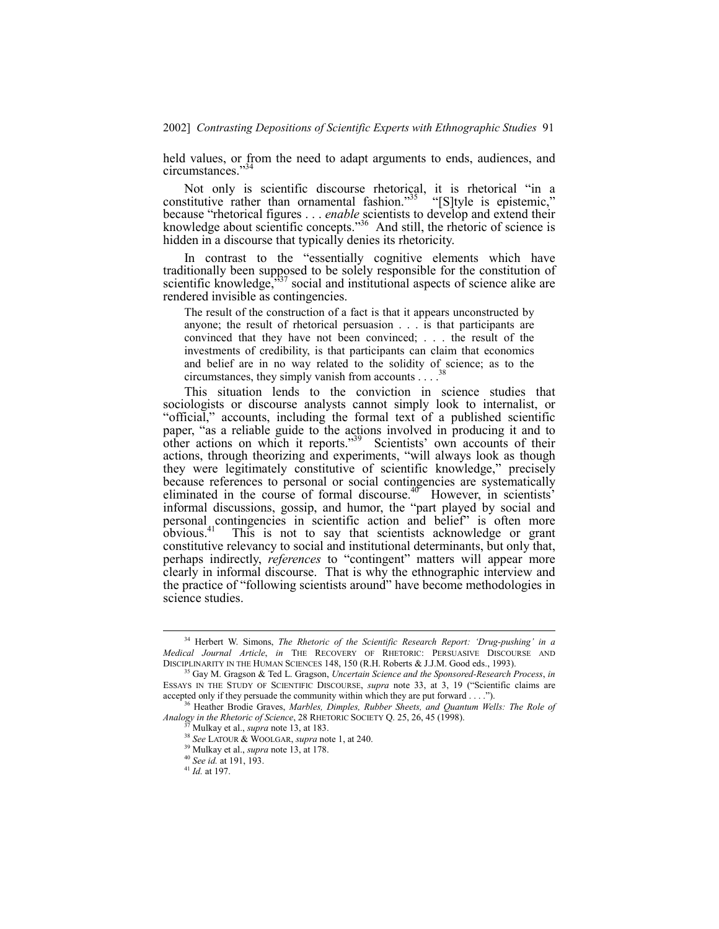held values, or from the need to adapt arguments to ends, audiences, and circumstances."<sup>3</sup>

Not only is scientific discourse rhetorical, it is rhetorical "in a constitutive rather than ornamental fashion.<sup>35</sup> "[S]tyle is epistemic," because "rhetorical figures . . . *enable* scientists to develop and extend their knowledge about scientific concepts.<sup>336</sup> And still, the rhetoric of science is hidden in a discourse that typically denies its rhetoricity.

In contrast to the "essentially cognitive elements which have traditionally been supposed to be solely responsible for the constitution of scientific knowledge, $\frac{337}{127}$  social and institutional aspects of science alike are rendered invisible as contingencies.

The result of the construction of a fact is that it appears unconstructed by anyone; the result of rhetorical persuasion . . . is that participants are convinced that they have not been convinced; . . . the result of the investments of credibility, is that participants can claim that economics and belief are in no way related to the solidity of science; as to the circumstances, they simply vanish from accounts  $\ldots$ <sup>38</sup>

This situation lends to the conviction in science studies that sociologists or discourse analysts cannot simply look to internalist, or "official," accounts, including the formal text of a published scientific paper, "as a reliable guide to the actions involved in producing it and to other actions on which it reports.<sup>39</sup> Scientists' own accounts of their actions, through theorizing and experiments, "will always look as though they were legitimately constitutive of scientific knowledge," precisely because references to personal or social contingencies are systematically eliminated in the course of formal discourse.<sup>40</sup> However, in scientists<sup>3</sup> informal discussions, gossip, and humor, the "part played by social and personal contingencies in scientific action and belief" is often more obvious.41 This is not to say that scientists acknowledge or grant constitutive relevancy to social and institutional determinants, but only that, perhaps indirectly, *references* to "contingent" matters will appear more clearly in informal discourse. That is why the ethnographic interview and the practice of "following scientists around" have become methodologies in science studies.

 <sup>34</sup> Herbert W. Simons, *The Rhetoric of the Scientific Research Report: ëDrug-pushingí in a Medical Journal Article*, *in* THE RECOVERY OF RHETORIC: PERSUASIVE DISCOURSE AND DISCIPLINARITY IN THE HUMAN SCIENCES 148, 150 (R.H. Roberts & J.J.M. Good eds., 1993).

<sup>35</sup> Gay M. Gragson & Ted L. Gragson, *Uncertain Science and the Sponsored-Research Process*, *in* ESSAYS IN THE STUDY OF SCIENTIFIC DISCOURSE, *supra* note 33, at 3, 19 ("Scientific claims are accepted only if they persuade the community within which they are put forward  $\dots$ .").

<sup>36</sup> Heather Brodie Graves, *Marbles, Dimples, Rubber Sheets, and Quantum Wells: The Role of Analogy in the Rhetoric of Science*, 28 RHETORIC SOCIETY Q. 25, 26, 45 (1998).

<sup>37</sup> Mulkay et al., *supra* note 13, at 183.

<sup>38</sup> *See* LATOUR & WOOLGAR, *supra* note 1, at 240.

<sup>39</sup> Mulkay et al., *supra* note 13, at 178.

<sup>40</sup> *See id.* at 191, 193.

<sup>41</sup> *Id.* at 197.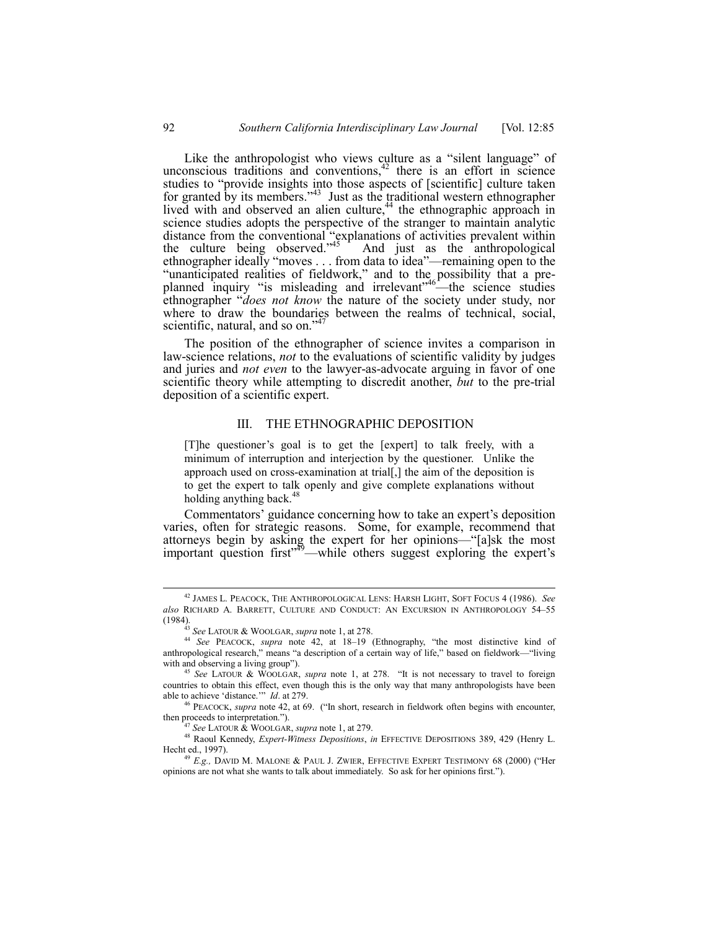Like the anthropologist who views culture as a "silent language" of unconscious traditions and conventions, $42$  there is an effort in science studies to "provide insights into those aspects of [scientific] culture taken for granted by its members.<sup> $343$ </sup> Just as the traditional western ethnographer lived with and observed an alien culture,<sup>44</sup> the ethnographic approach in science studies adopts the perspective of the stranger to maintain analytic distance from the conventional "explanations of activities prevalent within the culture being observed.<sup> $345$ </sup> And just as the anthropological ethnographer ideally "moves . . . from data to idea"—remaining open to the "unanticipated realities of fieldwork," and to the possibility that a preplanned inquiry "is misleading and irrelevant"<sup>46</sup> the science studies ethnographer *"does not know* the nature of the society under study, nor where to draw the boundaries between the realms of technical, social, scientific, natural, and so on.<sup> $47$ </sup>

The position of the ethnographer of science invites a comparison in law-science relations, *not* to the evaluations of scientific validity by judges and juries and *not even* to the lawyer-as-advocate arguing in favor of one scientific theory while attempting to discredit another, *but* to the pre-trial deposition of a scientific expert.

#### III. THE ETHNOGRAPHIC DEPOSITION

[T]he questioner's goal is to get the [expert] to talk freely, with a minimum of interruption and interjection by the questioner. Unlike the approach used on cross-examination at trial[,] the aim of the deposition is to get the expert to talk openly and give complete explanations without holding anything back. $48$ 

Commentators' guidance concerning how to take an expert's deposition varies, often for strategic reasons. Some, for example, recommend that attorneys begin by asking the expert for her opinions—"[a]sk the most important question first<sup>749</sup>—while others suggest exploring the expert's

 <sup>42</sup> JAMES L. PEACOCK, THE ANTHROPOLOGICAL LENS: HARSH LIGHT, SOFT FOCUS 4 (1986). *See* also RICHARD A. BARRETT, CULTURE AND CONDUCT: AN EXCURSION IN ANTHROPOLOGY 54-55 (1984).

<sup>43</sup> *See* LATOUR & WOOLGAR, *supra* note 1, at 278.

<sup>&</sup>lt;sup>44</sup> See PEACOCK, *supra* note 42, at 18-19 (Ethnography, "the most distinctive kind of anthropological research," means "a description of a certain way of life," based on fieldwork—"living with and observing a living group").

<sup>&</sup>lt;sup>45</sup> See LATOUR & WOOLGAR, *supra* note 1, at 278. "It is not necessary to travel to foreign countries to obtain this effect, even though this is the only way that many anthropologists have been able to achieve 'distance.'" *Id.* at 279.

PEACOCK, *supra* note 42, at 69. ("In short, research in fieldwork often begins with encounter, then proceeds to interpretation.").

<sup>47</sup> *See* LATOUR & WOOLGAR, *supra* note 1, at 279.

<sup>48</sup> Raoul Kennedy, *Expert-Witness Depositions*, *in* EFFECTIVE DEPOSITIONS 389, 429 (Henry L. Hecht ed., 1997).

<sup>&</sup>lt;sup>49</sup> E.g., DAVID M. MALONE & PAUL J. ZWIER, EFFECTIVE EXPERT TESTIMONY 68 (2000) ("Her opinions are not what she wants to talk about immediately. So ask for her opinions first.").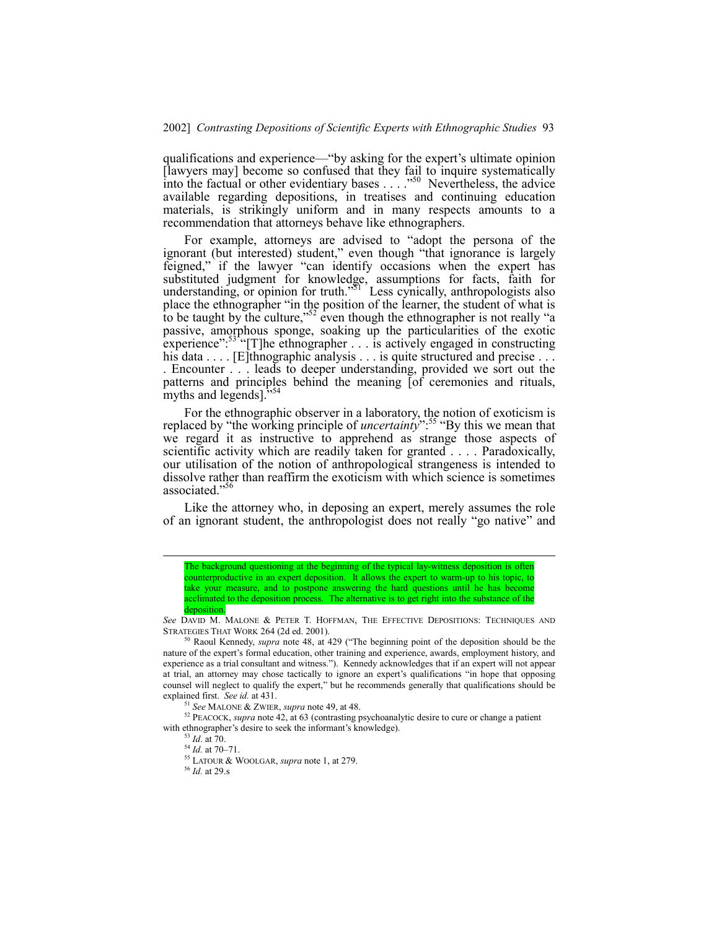qualifications and experience—"by asking for the expert's ultimate opinion [lawyers may] become so confused that they fail to inquire systematically into the factual or other evidentiary bases . . . .<sup>50</sup> Nevertheless, the advice available regarding depositions, in treatises and continuing education materials, is strikingly uniform and in many respects amounts to a recommendation that attorneys behave like ethnographers.

For example, attorneys are advised to "adopt the persona of the ignorant (but interested) student," even though "that ignorance is largely feigned," if the lawyer "can identify occasions when the expert has substituted judgment for knowledge, assumptions for facts, faith for understanding, or opinion for truth.<sup>351</sup> Less cynically, anthropologists also place the ethnographer "in the position of the learner, the student of what is to be taught by the culture,<sup> $52$ </sup> even though the ethnographer is not really "a passive, amorphous sponge, soaking up the particularities of the exotic experience": $53$ <sup>1</sup> [T]he ethnographer . . . is actively engaged in constructing his data . . . . [E]thnographic analysis . . . is quite structured and precise . . . . Encounter . . . leads to deeper understanding, provided we sort out the patterns and principles behind the meaning [of ceremonies and rituals, myths and legends]. $\frac{3}{4}$ 

For the ethnographic observer in a laboratory, the notion of exoticism is replaced by "the working principle of *uncertainty*<sup>".55</sup> "By this we mean that we regard it as instructive to apprehend as strange those aspects of scientific activity which are readily taken for granted . . . . Paradoxically, our utilisation of the notion of anthropological strangeness is intended to dissolve rather than reaffirm the exoticism with which science is sometimes associated."

Like the attorney who, in deposing an expert, merely assumes the role of an ignorant student, the anthropologist does not really "go native" and

 $50$  Raoul Kennedy, *supra* note 48, at 429 ("The beginning point of the deposition should be the nature of the expertís formal education, other training and experience, awards, employment history, and experience as a trial consultant and witness."). Kennedy acknowledges that if an expert will not appear at trial, an attorney may chose tactically to ignore an expert's qualifications "in hope that opposing counsel will neglect to qualify the expert," but he recommends generally that qualifications should be explained first. *See id.* at 431.

See MALONE & ZWIER, *supra* note 49, at 48.

<sup>52</sup> PEACOCK, *supra* note 42, at 63 (contrasting psychoanalytic desire to cure or change a patient with ethnographer's desire to seek the informant's knowledge).

<sup>53</sup> *Id*. at 70.

 $^{54}$  *Id.* at 70–71.

55 LATOUR & WOOLGAR, *supra* note 1, at 279.

The background questioning at the beginning of the typical lay-witness deposition is often counterproductive in an expert deposition. It allows the expert to warm-up to his topic, to take your measure, and to postpone answering the hard questions until he has become acclimated to the deposition process. The alternative is to get right into the substance of the deposition.

*See* DAVID M. MALONE & PETER T. HOFFMAN, THE EFFECTIVE DEPOSITIONS: TECHNIQUES AND STRATEGIES THAT WORK 264 (2d ed. 2001).

<sup>56</sup> *Id.* at 29.s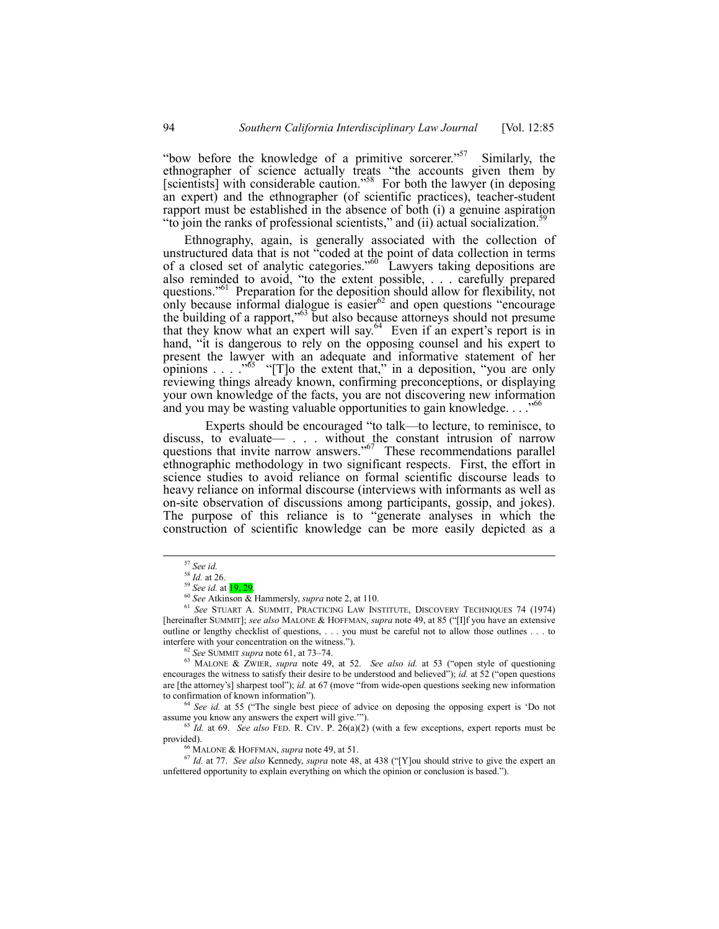"bow before the knowledge of a primitive sorcerer."<sup>57</sup> Similarly, the ethnographer of science actually treats "the accounts given them by [scientists] with considerable caution.<sup>58</sup> For both the lawyer (in deposing an expert) and the ethnographer (of scientific practices), teacher-student rapport must be established in the absence of both (i) a genuine aspiration "to join the ranks of professional scientists," and (ii) actual socialization. $\frac{5}{2}$ 

Ethnography, again, is generally associated with the collection of unstructured data that is not "coded at the point of data collection in terms of a closed set of analytic categories.<sup> $60$ </sup> Lawyers taking depositions are also reminded to avoid, "to the extent possible, . . . carefully prepared questions.<sup>361</sup> Preparation for the deposition should allow for flexibility, not only because informal dialogue is easier $62$  and open questions "encourage the building of a rapport,<sup> $563$ </sup> but also because attorneys should not presume that they know what an expert will say.<sup>64</sup> Even if an expert's report is in hand, "it is dangerous to rely on the opposing counsel and his expert to present the lawyer with an adequate and informative statement of her opinions  $\ldots$   $\frac{1}{5}$  "[T]o the extent that," in a deposition, "you are only reviewing things already known, confirming preconceptions, or displaying your own knowledge of the facts, you are not discovering new information and you may be wasting valuable opportunities to gain knowledge... $\cdot$ <sup>66</sup>

Experts should be encouraged "to talk—to lecture, to reminisce, to discuss, to evaluate  $\cdots$  . . . without the constant intrusion of narrow questions that invite narrow answers.<sup> $567$ </sup> These recommendations parallel ethnographic methodology in two significant respects. First, the effort in science studies to avoid reliance on formal scientific discourse leads to heavy reliance on informal discourse (interviews with informants as well as on-site observation of discussions among participants, gossip, and jokes). The purpose of this reliance is to "generate analyses in which the construction of scientific knowledge can be more easily depicted as a

<sup>4</sup> See id. at 55 ("The single best piece of advice on deposing the opposing expert is 'Do not assume you know any answers the expert will give."").

<sup>65</sup> *Id.* at 69. *See also* FED. R. CIV. P. 26(a)(2) (with a few exceptions, expert reports must be provided).

MALONE & HOFFMAN, *supra* note 49, at 51.

<sup>67</sup> Id. at 77. *See also* Kennedy, *supra* note 48, at 438 ("[Y]ou should strive to give the expert an unfettered opportunity to explain everything on which the opinion or conclusion is based.").

 <sup>57</sup> *See id.*

<sup>58</sup> *Id.* at 26.

<sup>&</sup>lt;sup>59</sup> *See id.* at **19, 29** 

<sup>60</sup> *See* Atkinson & Hammersly, *supra* note 2, at 110.

<sup>61</sup> *See* STUART A. SUMMIT, PRACTICING LAW INSTITUTE, DISCOVERY TECHNIQUES 74 (1974) [hereinafter SUMMIT]; *see also* MALONE & HOFFMAN, *supra* note 49, at 85 ("[I]f you have an extensive outline or lengthy checklist of questions, . . . you must be careful not to allow those outlines . . . to interfere with your concentration on the witness.<sup>"</sup>).

<sup>&</sup>lt;sup>62</sup> See SUMMIT supra note 61, at 73-74.

<sup>&</sup>lt;sup>63</sup> MALONE & ZWIER, *supra* note 49, at 52. *See also id.* at 53 ("open style of questioning encourages the witness to satisfy their desire to be understood and believed"); *id.* at 52 ("open questions" are [the attorney's] sharpest tool"); *id.* at 67 (move "from wide-open questions seeking new information to confirmation of known information").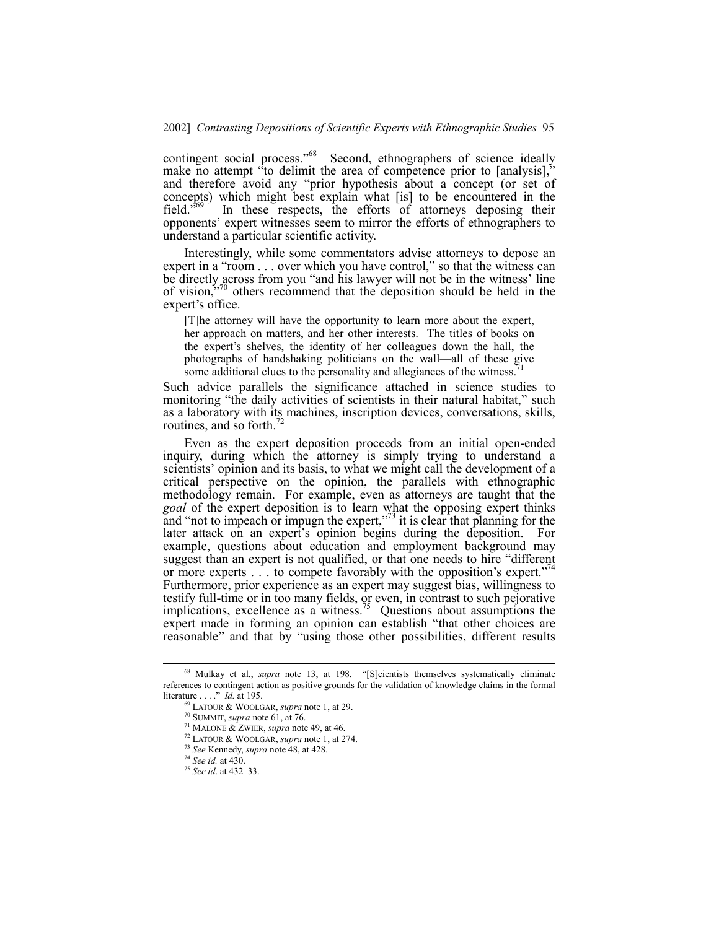contingent social process.<sup>768</sup> Second, ethnographers of science ideally make no attempt <sup>*i*</sup>to delimit the area of competence prior to [analysis],<sup>\*</sup> and therefore avoid any "prior hypothesis about a concept (or set of concepts) which might best explain what [is] to be encountered in the field.<sup> $569$ </sup> In these respects, the efforts of attorneys deposing their opponentsí expert witnesses seem to mirror the efforts of ethnographers to understand a particular scientific activity.

Interestingly, while some commentators advise attorneys to depose an expert in a "room . . . over which you have control," so that the witness can be directly across from you "and his lawyer will not be in the witness' line of vision, $\frac{1}{2}$ <sup>70</sup> others recommend that the deposition should be held in the expert's office.

[T]he attorney will have the opportunity to learn more about the expert, her approach on matters, and her other interests. The titles of books on the expert's shelves, the identity of her colleagues down the hall, the photographs of handshaking politicians on the wall—all of these give some additional clues to the personality and allegiances of the witness.

Such advice parallels the significance attached in science studies to monitoring "the daily activities of scientists in their natural habitat," such as a laboratory with its machines, inscription devices, conversations, skills, routines, and so forth. $72$ 

Even as the expert deposition proceeds from an initial open-ended inquiry, during which the attorney is simply trying to understand a scientists' opinion and its basis, to what we might call the development of a critical perspective on the opinion, the parallels with ethnographic methodology remain. For example, even as attorneys are taught that the *goal* of the expert deposition is to learn what the opposing expert thinks and "not to impeach or impugn the expert," $\frac{7}{3}$  it is clear that planning for the later attack on an expert's opinion begins during the deposition. For example, questions about education and employment background may suggest than an expert is not qualified, or that one needs to hire "different or more experts . . . to compete favorably with the opposition's expert." Furthermore, prior experience as an expert may suggest bias, willingness to testify full-time or in too many fields, or even, in contrast to such pejorative implications, excellence as a witness.<sup>75</sup> Questions about assumptions the expert made in forming an opinion can establish "that other choices are reasonable" and that by "using those other possibilities, different results

<sup>&</sup>lt;sup>68</sup> Mulkay et al., *supra* note 13, at 198. "[S]cientists themselves systematically eliminate references to contingent action as positive grounds for the validation of knowledge claims in the formal literature . . . .î *Id.* at 195.

<sup>69</sup> LATOUR & WOOLGAR, *supra* note 1, at 29.

<sup>70</sup> SUMMIT, *supra* note 61, at 76.

<sup>71</sup> MALONE & ZWIER, *supra* note 49, at 46.

<sup>72</sup> LATOUR & WOOLGAR, *supra* note 1, at 274.

<sup>73</sup> *See* Kennedy, *supra* note 48, at 428.

<sup>74</sup> *See id.* at 430.

<sup>&</sup>lt;sup>75</sup> *See id.* at 432-33.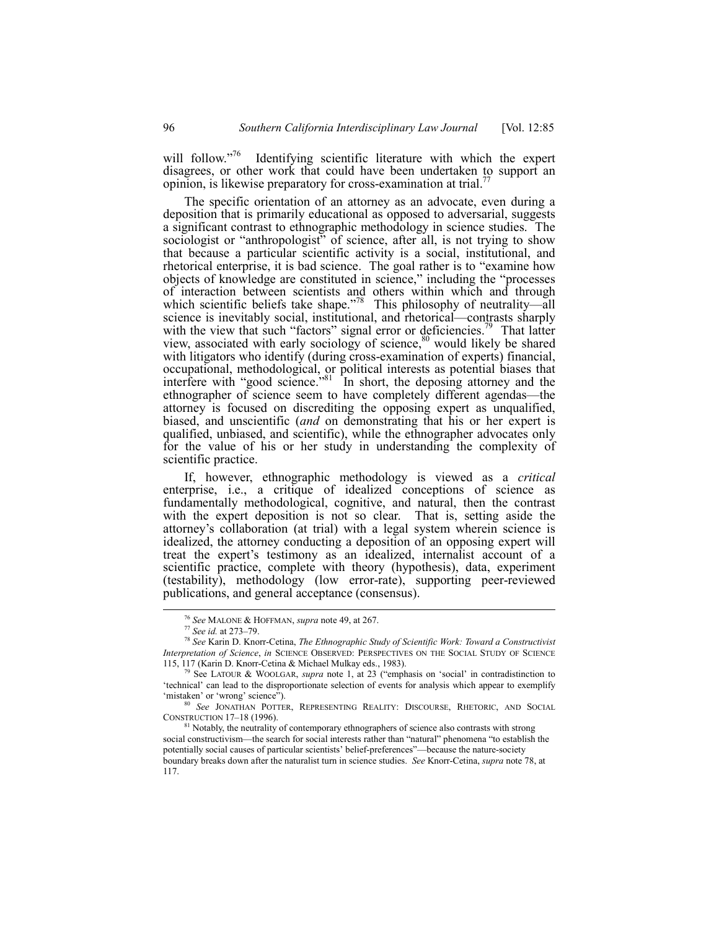will follow. $176$  Identifying scientific literature with which the expert disagrees, or other work that could have been undertaken to support an opinion, is likewise preparatory for cross-examination at trial.

The specific orientation of an attorney as an advocate, even during a deposition that is primarily educational as opposed to adversarial, suggests a significant contrast to ethnographic methodology in science studies. The sociologist or "anthropologist" of science, after all, is not trying to show that because a particular scientific activity is a social, institutional, and rhetorical enterprise, it is bad science. The goal rather is to "examine how objects of knowledge are constituted in science," including the "processes of interaction between scientists and others within which and through which scientific beliefs take shape.<sup> $\frac{78}{8}$ </sup> This philosophy of neutrality—all science is inevitably social, institutional, and rhetorical—contrasts sharply with the view that such "factors" signal error or deficiencies.<sup>79</sup> That latter view, associated with early sociology of science, $80$  would likely be shared with litigators who identify (during cross-examination of experts) financial, occupational, methodological, or political interests as potential biases that interfere with "good science.<sup> $381$ </sup> In short, the deposing attorney and the ethnographer of science seem to have completely different agendas—the attorney is focused on discrediting the opposing expert as unqualified, biased, and unscientific (*and* on demonstrating that his or her expert is qualified, unbiased, and scientific), while the ethnographer advocates only for the value of his or her study in understanding the complexity of scientific practice.

If, however, ethnographic methodology is viewed as a *critical* enterprise, i.e., a critique of idealized conceptions of science as fundamentally methodological, cognitive, and natural, then the contrast with the expert deposition is not so clear. That is, setting aside the attorney's collaboration (at trial) with a legal system wherein science is idealized, the attorney conducting a deposition of an opposing expert will treat the expertís testimony as an idealized, internalist account of a scientific practice, complete with theory (hypothesis), data, experiment (testability), methodology (low error-rate), supporting peer-reviewed publications, and general acceptance (consensus).

 <sup>76</sup> *See* MALONE & HOFFMAN, *supra* note 49, at 267.

<sup>&</sup>lt;sup>77</sup> *See id.* at 273–79.

<sup>78</sup> *See* Karin D. Knorr-Cetina, *The Ethnographic Study of Scientific Work: Toward a Constructivist Interpretation of Science*, *in* SCIENCE OBSERVED: PERSPECTIVES ON THE SOCIAL STUDY OF SCIENCE 115, 117 (Karin D. Knorr-Cetina & Michael Mulkay eds., 1983).

See LATOUR & WOOLGAR, *supra* note 1, at 23 ("emphasis on 'social' in contradistinction to ëtechnicalí can lead to the disproportionate selection of events for analysis which appear to exemplify 'mistaken' or 'wrong' science").

<sup>80</sup> *See* JONATHAN POTTER, REPRESENTING REALITY: DISCOURSE, RHETORIC, AND SOCIAL CONSTRUCTION 17-18 (1996).

 $81$  Notably, the neutrality of contemporary ethnographers of science also contrasts with strong social constructivism—the search for social interests rather than "natural" phenomena "to establish the potentially social causes of particular scientists' belief-preferences"—because the nature-society boundary breaks down after the naturalist turn in science studies. *See* Knorr-Cetina, *supra* note 78, at 117.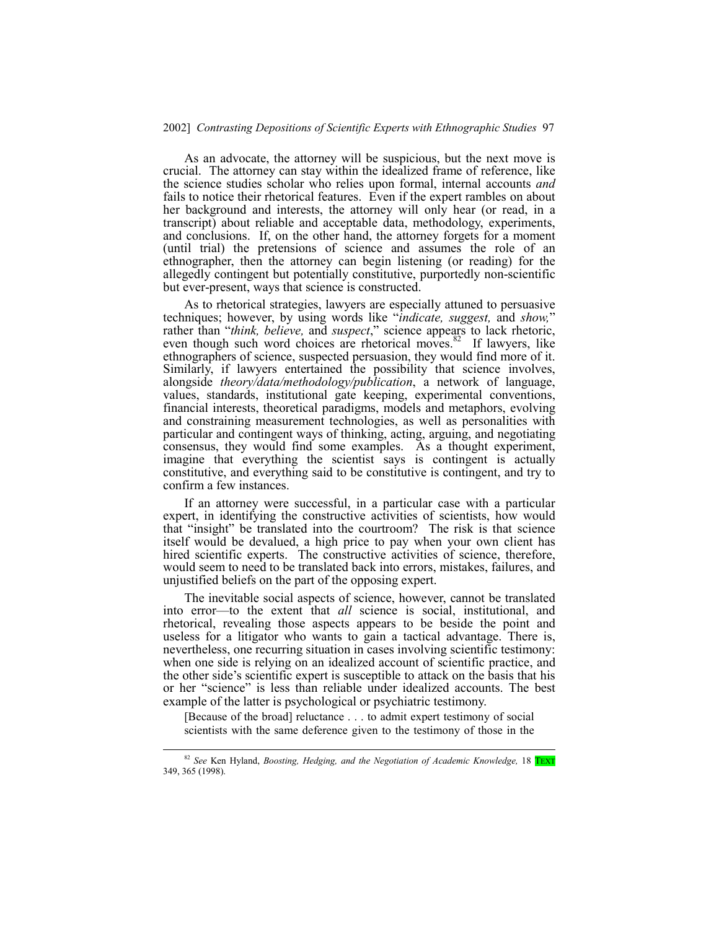## 2002] *Contrasting Depositions of Scientific Experts with Ethnographic Studies* 97

As an advocate, the attorney will be suspicious, but the next move is crucial. The attorney can stay within the idealized frame of reference, like the science studies scholar who relies upon formal, internal accounts *and* fails to notice their rhetorical features. Even if the expert rambles on about her background and interests, the attorney will only hear (or read, in a transcript) about reliable and acceptable data, methodology, experiments, and conclusions. If, on the other hand, the attorney forgets for a moment (until trial) the pretensions of science and assumes the role of an ethnographer, then the attorney can begin listening (or reading) for the allegedly contingent but potentially constitutive, purportedly non-scientific but ever-present, ways that science is constructed.

As to rhetorical strategies, lawyers are especially attuned to persuasive techniques; however, by using words like "*indicate, suggest*, and *show*," rather than *"think, believe, and suspect*," science appears to lack rhetoric, even though such word choices are rhetorical moves.<sup>82</sup> If lawyers, like ethnographers of science, suspected persuasion, they would find more of it. Similarly, if lawyers entertained the possibility that science involves, alongside *theory/data/methodology/publication*, a network of language, values, standards, institutional gate keeping, experimental conventions, financial interests, theoretical paradigms, models and metaphors, evolving and constraining measurement technologies, as well as personalities with particular and contingent ways of thinking, acting, arguing, and negotiating consensus, they would find some examples. As a thought experiment, imagine that everything the scientist says is contingent is actually constitutive, and everything said to be constitutive is contingent, and try to confirm a few instances.

If an attorney were successful, in a particular case with a particular expert, in identifying the constructive activities of scientists, how would that "insight" be translated into the courtroom? The risk is that science itself would be devalued, a high price to pay when your own client has hired scientific experts. The constructive activities of science, therefore, would seem to need to be translated back into errors, mistakes, failures, and unjustified beliefs on the part of the opposing expert.

The inevitable social aspects of science, however, cannot be translated into error—to the extent that *all* science is social, institutional, and rhetorical, revealing those aspects appears to be beside the point and useless for a litigator who wants to gain a tactical advantage. There is, nevertheless, one recurring situation in cases involving scientific testimony: when one side is relying on an idealized account of scientific practice, and the other side's scientific expert is susceptible to attack on the basis that his or her "science" is less than reliable under idealized accounts. The best example of the latter is psychological or psychiatric testimony.

[Because of the broad] reluctance . . . to admit expert testimony of social scientists with the same deference given to the testimony of those in the

 <sup>82</sup> *See* Ken Hyland, *Boosting, Hedging, and the Negotiation of Academic Knowledge,* 18 TEXT 349, 365 (1998).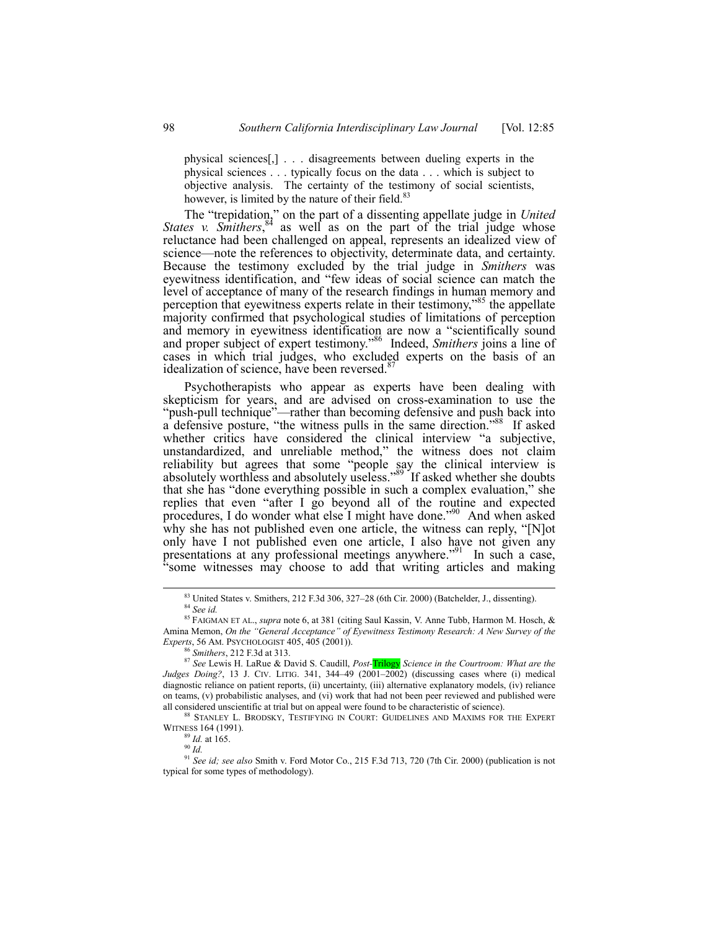physical sciences[,] . . . disagreements between dueling experts in the physical sciences . . . typically focus on the data . . . which is subject to objective analysis. The certainty of the testimony of social scientists, however, is limited by the nature of their field.<sup>83</sup>

The "trepidation," on the part of a dissenting appellate judge in *United States v. Smithers*<sup>84</sup> as well as on the part of the trial judge whose reluctance had been challenged on appeal, represents an idealized view of science—note the references to objectivity, determinate data, and certainty. Because the testimony excluded by the trial judge in *Smithers* was eyewitness identification, and "few ideas of social science can match the level of acceptance of many of the research findings in human memory and perception that eyewitness experts relate in their testimony,<sup>385</sup> the appellate majority confirmed that psychological studies of limitations of perception and memory in eyewitness identification are now a "scientifically sound and proper subject of expert testimony.<sup>86</sup> Indeed, *Smithers* joins a line of cases in which trial judges, who excluded experts on the basis of an idealization of science, have been reversed.<sup>8</sup>

Psychotherapists who appear as experts have been dealing with skepticism for years, and are advised on cross-examination to use the "push-pull technique"—rather than becoming defensive and push back into a defensive posture, "the witness pulls in the same direction."<sup>88</sup> If asked whether critics have considered the clinical interview "a subjective, unstandardized, and unreliable method," the witness does not claim reliability but agrees that some "people say the clinical interview is absolutely worthless and absolutely useless."<sup>89</sup> If asked whether she doubts that she has "done everything possible in such a complex evaluation," she replies that even "after I go beyond all of the routine and expected procedures, I do wonder what else I might have done.<sup>390</sup> And when asked why she has not published even one article, the witness can reply,  $\lq$ [N]ot only have I not published even one article, I also have not given any presentations at any professional meetings anywhere.<sup>791</sup> In such a case, ìsome witnesses may choose to add that writing articles and making

 $^{90}$  *Id.* 

 $83$  United States v. Smithers, 212 F.3d 306, 327–28 (6th Cir. 2000) (Batchelder, J., dissenting). <sup>84</sup> *See id.*

<sup>85</sup> FAIGMAN ET AL., *supra* note 6, at 381 (citing Saul Kassin, V. Anne Tubb, Harmon M. Hosch, & Amina Memon, *On the "General Acceptance" of Eyewitness Testimony Research: A New Survey of the Experts*, 56 AM. PSYCHOLOGIST 405, 405 (2001)).

<sup>86</sup> *Smithers*, 212 F.3d at 313.

<sup>87</sup> *See* Lewis H. LaRue & David S. Caudill, *Post-*Trilogy *Science in the Courtroom: What are the Judges Doing?*, 13 J. CIV. LITIG. 341, 344-49 (2001-2002) (discussing cases where (i) medical diagnostic reliance on patient reports, (ii) uncertainty, (iii) alternative explanatory models, (iv) reliance on teams, (v) probabilistic analyses, and (vi) work that had not been peer reviewed and published were all considered unscientific at trial but on appeal were found to be characteristic of science).

<sup>88</sup> STANLEY L. BRODSKY, TESTIFYING IN COURT: GUIDELINES AND MAXIMS FOR THE EXPERT WITNESS 164 (1991).

<sup>89</sup> *Id.* at 165.

<sup>91</sup> *See id; see also* Smith v. Ford Motor Co., 215 F.3d 713, 720 (7th Cir. 2000) (publication is not typical for some types of methodology).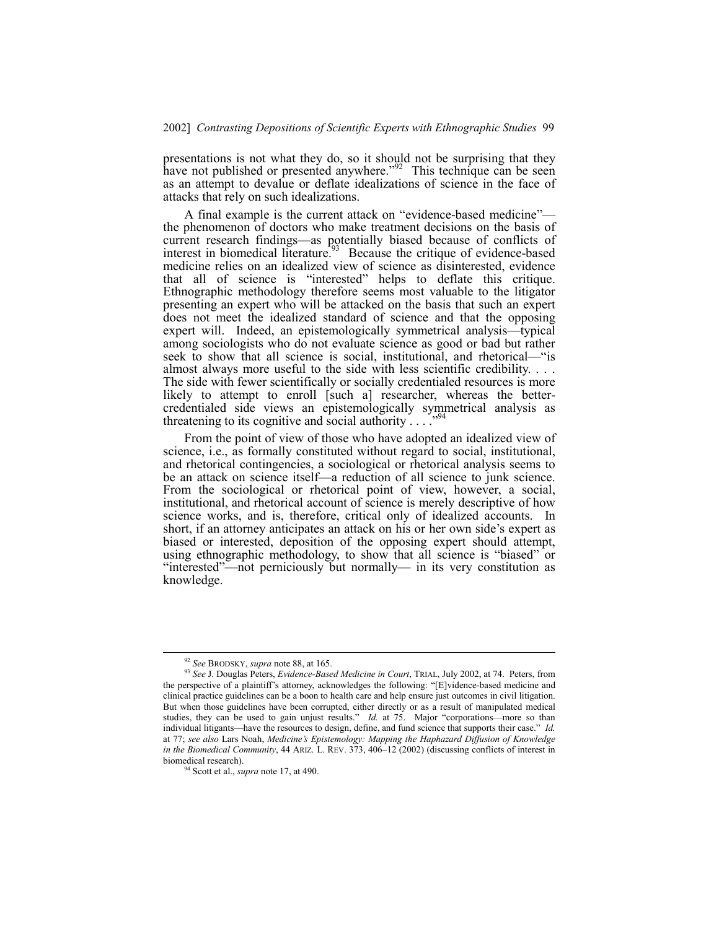presentations is not what they do, so it should not be surprising that they have not published or presented anywhere.<sup> $292$ </sup> This technique can be seen as an attempt to devalue or deflate idealizations of science in the face of attacks that rely on such idealizations.

A final example is the current attack on "evidence-based medicine" the phenomenon of doctors who make treatment decisions on the basis of current research findings—as potentially biased because of conflicts of interest in biomedical literature.<sup> $\frac{1}{93}$ </sup> Because the critique of evidence-based medicine relies on an idealized view of science as disinterested, evidence that all of science is "interested" helps to deflate this critique. Ethnographic methodology therefore seems most valuable to the litigator presenting an expert who will be attacked on the basis that such an expert does not meet the idealized standard of science and that the opposing  $expect$  will. Indeed, an epistemologically symmetrical analysis—typical among sociologists who do not evaluate science as good or bad but rather seek to show that all science is social, institutional, and rhetorical—"is almost always more useful to the side with less scientific credibility. . . . The side with fewer scientifically or socially credentialed resources is more likely to attempt to enroll [such a] researcher, whereas the bettercredentialed side views an epistemologically symmetrical analysis as threatening to its cognitive and social authority  $\ldots$ .  $\ldots$ <sup>94</sup>

From the point of view of those who have adopted an idealized view of science, i.e., as formally constituted without regard to social, institutional, and rhetorical contingencies, a sociological or rhetorical analysis seems to be an attack on science itself—a reduction of all science to junk science. From the sociological or rhetorical point of view, however, a social, institutional, and rhetorical account of science is merely descriptive of how science works, and is, therefore, critical only of idealized accounts. In short, if an attorney anticipates an attack on his or her own side's expert as biased or interested, deposition of the opposing expert should attempt, using ethnographic methodology, to show that all science is "biased" or "interested"—not perniciously but normally— in its very constitution as knowledge.

 <sup>92</sup> *See* BRODSKY, *supra* note 88, at 165.

<sup>93</sup> *See* J. Douglas Peters, *Evidence-Based Medicine in Court*, TRIAL, July 2002, at 74. Peters, from the perspective of a plaintiff's attorney, acknowledges the following: "[E]vidence-based medicine and clinical practice guidelines can be a boon to health care and help ensure just outcomes in civil litigation. But when those guidelines have been corrupted, either directly or as a result of manipulated medical studies, they can be used to gain unjust results.<sup>"</sup> *Id.* at 75. Major "corporations—more so than individual litigants—have the resources to design, define, and fund science that supports their case." *Id.* at 77; *see also* Lars Noah, *Medicineís Epistemology: Mapping the Haphazard Diffusion of Knowledge in the Biomedical Community*, 44 ARIZ. L. REV. 373, 406-12 (2002) (discussing conflicts of interest in biomedical research).

<sup>94</sup> Scott et al., *supra* note 17, at 490.